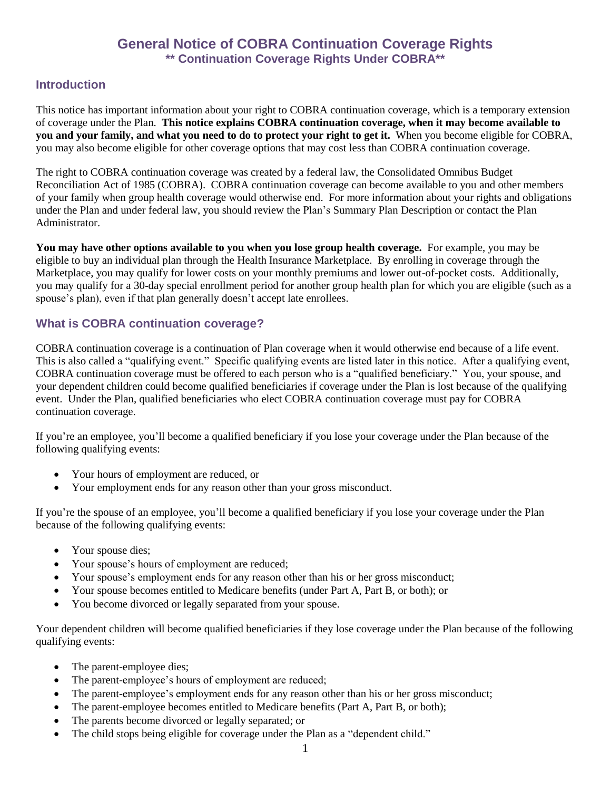# **General Notice of COBRA Continuation Coverage Rights \*\* Continuation Coverage Rights Under COBRA\*\***

### **Introduction**

This notice has important information about your right to COBRA continuation coverage, which is a temporary extension of coverage under the Plan. **This notice explains COBRA continuation coverage, when it may become available to you and your family, and what you need to do to protect your right to get it.** When you become eligible for COBRA, you may also become eligible for other coverage options that may cost less than COBRA continuation coverage.

The right to COBRA continuation coverage was created by a federal law, the Consolidated Omnibus Budget Reconciliation Act of 1985 (COBRA). COBRA continuation coverage can become available to you and other members of your family when group health coverage would otherwise end. For more information about your rights and obligations under the Plan and under federal law, you should review the Plan's Summary Plan Description or contact the Plan Administrator.

**You may have other options available to you when you lose group health coverage.** For example, you may be eligible to buy an individual plan through the Health Insurance Marketplace. By enrolling in coverage through the Marketplace, you may qualify for lower costs on your monthly premiums and lower out-of-pocket costs. Additionally, you may qualify for a 30-day special enrollment period for another group health plan for which you are eligible (such as a spouse's plan), even if that plan generally doesn't accept late enrollees.

## **What is COBRA continuation coverage?**

COBRA continuation coverage is a continuation of Plan coverage when it would otherwise end because of a life event. This is also called a "qualifying event." Specific qualifying events are listed later in this notice. After a qualifying event, COBRA continuation coverage must be offered to each person who is a "qualified beneficiary." You, your spouse, and your dependent children could become qualified beneficiaries if coverage under the Plan is lost because of the qualifying event. Under the Plan, qualified beneficiaries who elect COBRA continuation coverage must pay for COBRA continuation coverage.

If you're an employee, you'll become a qualified beneficiary if you lose your coverage under the Plan because of the following qualifying events:

- Your hours of employment are reduced, or
- Your employment ends for any reason other than your gross misconduct.

If you're the spouse of an employee, you'll become a qualified beneficiary if you lose your coverage under the Plan because of the following qualifying events:

- Your spouse dies;
- Your spouse's hours of employment are reduced;
- Your spouse's employment ends for any reason other than his or her gross misconduct;
- Your spouse becomes entitled to Medicare benefits (under Part A, Part B, or both); or
- You become divorced or legally separated from your spouse.

Your dependent children will become qualified beneficiaries if they lose coverage under the Plan because of the following qualifying events:

- The parent-employee dies;
- The parent-employee's hours of employment are reduced;
- The parent-employee's employment ends for any reason other than his or her gross misconduct;
- The parent-employee becomes entitled to Medicare benefits (Part A, Part B, or both);
- The parents become divorced or legally separated; or
- The child stops being eligible for coverage under the Plan as a "dependent child."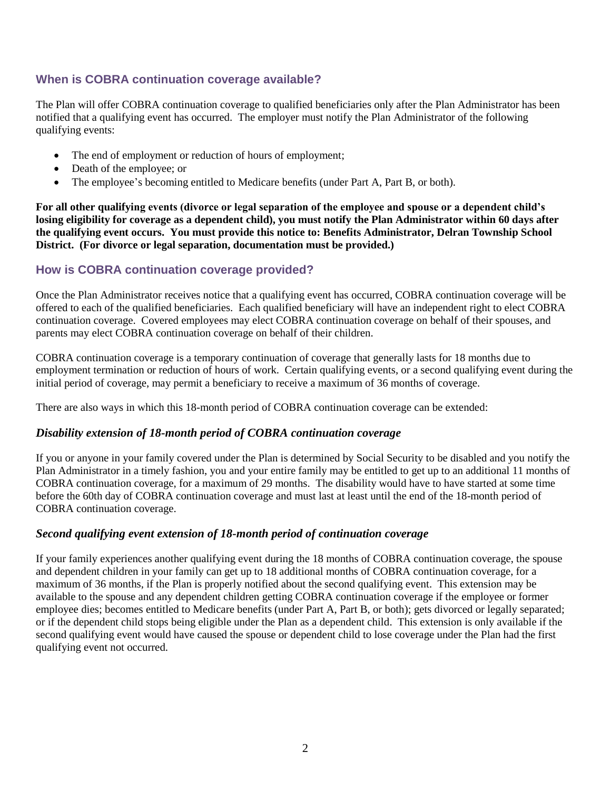## **When is COBRA continuation coverage available?**

The Plan will offer COBRA continuation coverage to qualified beneficiaries only after the Plan Administrator has been notified that a qualifying event has occurred. The employer must notify the Plan Administrator of the following qualifying events:

- The end of employment or reduction of hours of employment;
- Death of the employee; or
- The employee's becoming entitled to Medicare benefits (under Part A, Part B, or both).

**For all other qualifying events (divorce or legal separation of the employee and spouse or a dependent child's losing eligibility for coverage as a dependent child), you must notify the Plan Administrator within 60 days after the qualifying event occurs. You must provide this notice to: Benefits Administrator, Delran Township School District.****(For divorce or legal separation, documentation must be provided.)**

### **How is COBRA continuation coverage provided?**

Once the Plan Administrator receives notice that a qualifying event has occurred, COBRA continuation coverage will be offered to each of the qualified beneficiaries. Each qualified beneficiary will have an independent right to elect COBRA continuation coverage. Covered employees may elect COBRA continuation coverage on behalf of their spouses, and parents may elect COBRA continuation coverage on behalf of their children.

COBRA continuation coverage is a temporary continuation of coverage that generally lasts for 18 months due to employment termination or reduction of hours of work. Certain qualifying events, or a second qualifying event during the initial period of coverage, may permit a beneficiary to receive a maximum of 36 months of coverage.

There are also ways in which this 18-month period of COBRA continuation coverage can be extended:

#### *Disability extension of 18-month period of COBRA continuation coverage*

If you or anyone in your family covered under the Plan is determined by Social Security to be disabled and you notify the Plan Administrator in a timely fashion, you and your entire family may be entitled to get up to an additional 11 months of COBRA continuation coverage, for a maximum of 29 months. The disability would have to have started at some time before the 60th day of COBRA continuation coverage and must last at least until the end of the 18-month period of COBRA continuation coverage.

#### *Second qualifying event extension of 18-month period of continuation coverage*

If your family experiences another qualifying event during the 18 months of COBRA continuation coverage, the spouse and dependent children in your family can get up to 18 additional months of COBRA continuation coverage, for a maximum of 36 months, if the Plan is properly notified about the second qualifying event. This extension may be available to the spouse and any dependent children getting COBRA continuation coverage if the employee or former employee dies; becomes entitled to Medicare benefits (under Part A, Part B, or both); gets divorced or legally separated; or if the dependent child stops being eligible under the Plan as a dependent child. This extension is only available if the second qualifying event would have caused the spouse or dependent child to lose coverage under the Plan had the first qualifying event not occurred.